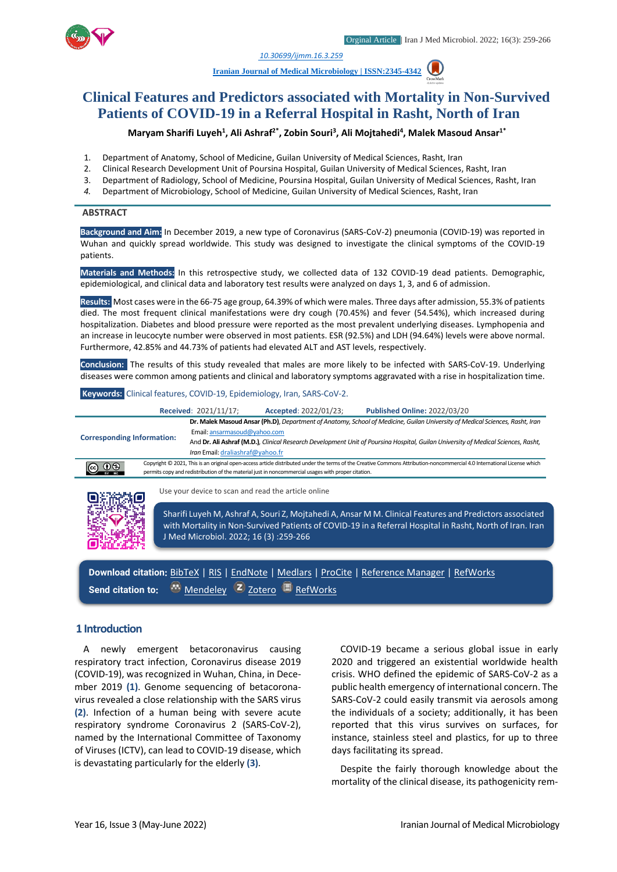

*1. [10.30699/ijmm.16.3.259](http://dx.doi.org/10.30699/ijmm.16.3.259)*

**[Iranian Journal of Medical Microbiology |](https://ijmm.ir/) ISSN:2345-4342**

# **Clinical Features and Predictors associated with Mortality in Non-Survived Patients of COVID-19 in a Referral Hospital in Rasht, North of Iran**

**Maryam Sharifi Luyeh<sup>1</sup> , Ali Ashraf2\* , Zobin Souri<sup>3</sup> , Ali Mojtahedi<sup>4</sup> , Malek Masoud Ansar1\***

- 1. Department of Anatomy, School of Medicine, Guilan University of Medical Sciences, Rasht, Iran
- 2. Clinical Research Development Unit of Poursina Hospital, Guilan University of Medical Sciences, Rasht, Iran
- 3. Department of Radiology, School of Medicine, Poursina Hospital, Guilan University of Medical Sciences, Rasht, Iran
- *4.* Department of Microbiology, School of Medicine, Guilan University of Medical Sciences, Rasht, Iran

#### **ABSTRACT**

**Background and Aim:** In December 2019, a new type of Coronavirus (SARS-CoV-2) pneumonia (COVID-19) was reported in Wuhan and quickly spread worldwide. This study was designed to investigate the clinical symptoms of the COVID-19 patients.

**Materials and Methods:** In this retrospective study, we collected data of 132 COVID-19 dead patients. Demographic, epidemiological, and clinical data and laboratory test results were analyzed on days 1, 3, and 6 of admission.

**Results:** Most cases were in the 66-75 age group, 64.39% of which were males. Three days after admission, 55.3% of patients died. The most frequent clinical manifestations were dry cough (70.45%) and fever (54.54%), which increased during hospitalization. Diabetes and blood pressure were reported as the most prevalent underlying diseases. Lymphopenia and an increase in leucocyte number were observed in most patients. ESR (92.5%) and LDH (94.64%) levels were above normal. Furthermore, 42.85% and 44.73% of patients had elevated ALT and AST levels, respectively.

**Conclusion:** The results of this study revealed that males are more likely to be infected with SARS-CoV-19. Underlying diseases were common among patients and clinical and laboratory symptoms aggravated with a rise in hospitalization time.

#### **Keywords:** Clinical features, COVID-19, Epidemiology, Iran, SARS-CoV-2.

|                                   |  | Received: 2021/11/17;                 | Accepted: 2022/01/23;                                                                              | <b>Published Online: 2022/03/20</b>                                                                                                                                                                                 |
|-----------------------------------|--|---------------------------------------|----------------------------------------------------------------------------------------------------|---------------------------------------------------------------------------------------------------------------------------------------------------------------------------------------------------------------------|
|                                   |  |                                       |                                                                                                    | Dr. Malek Masoud Ansar (Ph.D), Department of Anatomy, School of Medicine, Guilan University of Medical Sciences, Rasht, Iran                                                                                        |
| <b>Corresponding Information:</b> |  | Email: ansarmasoud@yahoo.com          |                                                                                                    |                                                                                                                                                                                                                     |
|                                   |  |                                       |                                                                                                    | And Dr. Ali Ashraf (M.D.), Clinical Research Development Unit of Poursina Hospital, Guilan University of Medical Sciences, Rasht,                                                                                   |
|                                   |  | Iran Email: draliashraf@yahoo.fr      |                                                                                                    |                                                                                                                                                                                                                     |
|                                   |  |                                       | permits copy and redistribution of the material just in noncommercial usages with proper citation. | Copyright © 2021, This is an original open-access article distributed under the terms of the Creative Commons Attribution-noncommercial 4.0 International License which                                             |
|                                   |  |                                       | Use your device to scan and read the article online                                                |                                                                                                                                                                                                                     |
|                                   |  | J Med Microbiol. 2022; 16 (3):259-266 |                                                                                                    | Sharifi Luyeh M, Ashraf A, Souri Z, Mojtahedi A, Ansar M M. Clinical Features and Predictors associated<br>with Mortality in Non-Survived Patients of COVID-19 in a Referral Hospital in Rasht, North of Iran. Iran |

**Download citation:** [BibTeX](https://ijmm.ir/web2export.php?a_code=A-10-186-2&sid=1&slc_lang=en&type=BibTeX) | [RIS](https://ijmm.ir/web2export.php?a_code=A-10-186-2&sid=1&slc_lang=en&type=ris) | [EndNote](https://ijmm.ir/web2export.php?a_code=A-10-186-2&sid=1&slc_lang=en&type=EndNote) | [Medlars](https://ijmm.ir/web2export.php?a_code=A-10-186-2&sid=1&slc_lang=en&type=Medlars) | [ProCite](https://ijmm.ir/web2export.php?a_code=A-10-186-2&sid=1&slc_lang=en&type=ProCite) | [Reference Manager](https://ijmm.ir/web2export.php?a_code=A-10-186-2&sid=1&slc_lang=en&type=Reference_Manager) | [RefWorks](https://ijmm.ir/web2export.php?a_code=A-10-186-2&sid=1&slc_lang=en&type=RefWorks) Send citation to: **[Mendeley](http://www.mendeley.com/import/?url=https://ijmm.ir/article-1-1549-en.html) Z** [Zotero](https://ijmm.ir/web2export.php?a_code=A-10-186-2&sid=1&slc_lang=en&type=ris) **[RefWorks](http://www.refworks.com/express/ExpressImport.asp?vendor=Iran-J-Med-Microbiol&filter=RefWorks%20Tagged%20Format&encoding=65001&url=http%3A%2F%2Fijmm.ir%2Farticle-1-1549-en.html)** 

### **1 Introduction**

A newly emergent betacoronavirus causing respiratory tract infection, Coronavirus disease 2019 (COVID-19), was recognized in Wuhan, China, in December 2019 **(1)**. Genome sequencing of betacoronavirus revealed a close relationship with the SARS virus **(2)**. Infection of a human being with severe acute respiratory syndrome Coronavirus 2 (SARS-CoV-2), named by the International Committee of Taxonomy of Viruses (ICTV), can lead to COVID-19 disease, which is devastating particularly for the elderly **(3)**.

COVID-19 became a serious global issue in early 2020 and triggered an existential worldwide health crisis. WHO defined the epidemic of SARS-CoV-2 as a public health emergency of international concern. The SARS-CoV-2 could easily transmit via aerosols among the individuals of a society; additionally, it has been reported that this virus survives on surfaces, for instance, stainless steel and plastics, for up to three days facilitating its spread.

Despite the fairly thorough knowledge about the mortality of the clinical disease, its pathogenicity rem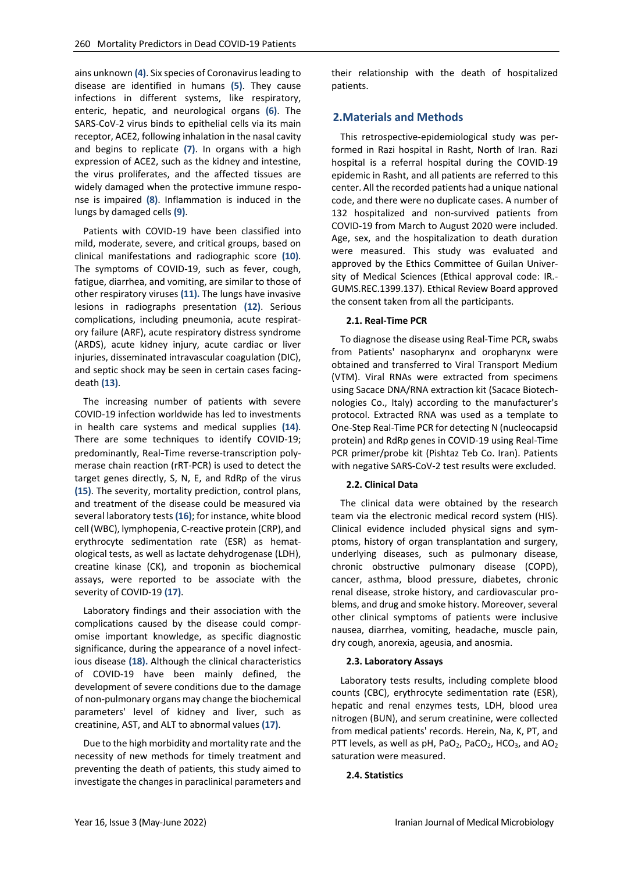ains unknown **(4)**. Six species of Coronavirus leading to disease are identified in humans **(5)**. They cause infections in different systems, like respiratory, enteric, hepatic, and neurological organs **(6)**. The SARS-CoV-2 virus binds to epithelial cells via its main receptor, ACE2, following inhalation in the nasal cavity and begins to replicate **(7)**. In organs with a high expression of ACE2, such as the kidney and intestine, the virus proliferates, and the affected tissues are widely damaged when the protective immune response is impaired **(8)**. Inflammation is induced in the lungs by damaged cells **(9)**.

Patients with COVID-19 have been classified into mild, moderate, severe, and critical groups, based on clinical manifestations and radiographic score **(10)**. The symptoms of COVID-19, such as fever, cough, fatigue, diarrhea, and vomiting, are similar to those of other respiratory viruses **(11).** The lungs have invasive lesions in radiographs presentation **(12)**. Serious complications, including pneumonia, acute respiratory failure (ARF), acute respiratory distress syndrome (ARDS), acute kidney injury, acute cardiac or liver injuries, disseminated intravascular coagulation (DIC), and septic shock may be seen in certain cases facingdeath **(13)**.

The increasing number of patients with severe COVID-19 infection worldwide has led to investments in health care systems and medical supplies **(14)**. There are some techniques to identify COVID-19; predominantly, Real-Time reverse-transcription polymerase chain reaction (rRT-PCR) is used to detect the target genes directly, S, N, E, and RdRp of the virus **(15)**. The severity, mortality prediction, control plans, and treatment of the disease could be measured via several laboratory tests **(16)**; for instance, white blood cell (WBC), lymphopenia, C-reactive protein (CRP), and erythrocyte sedimentation rate (ESR) as hematological tests, as well as lactate dehydrogenase (LDH), creatine kinase (CK), and troponin as biochemical assays, were reported to be associate with the severity of COVID-19 **(17)**.

Laboratory findings and their association with the complications caused by the disease could compromise important knowledge, as specific diagnostic significance, during the appearance of a novel infectious disease **(18).** Although the clinical characteristics of COVID-19 have been mainly defined, the development of severe conditions due to the damage of non-pulmonary organs may change the biochemical parameters' level of kidney and liver, such as creatinine, AST, and ALT to abnormal values **(17)**.

Due to the high morbidity and mortality rate and the necessity of new methods for timely treatment and preventing the death of patients, this study aimed to investigate the changes in paraclinical parameters and

their relationship with the death of hospitalized patients.

### **2.Materials and Methods**

This retrospective-epidemiological study was performed in Razi hospital in Rasht, North of Iran. Razi hospital is a referral hospital during the COVID-19 epidemic in Rasht, and all patients are referred to this center. All the recorded patients had a unique national code, and there were no duplicate cases. A number of 132 hospitalized and non-survived patients from COVID-19 from March to August 2020 were included. Age, sex, and the hospitalization to death duration were measured. This study was evaluated and approved by the Ethics Committee of Guilan University of Medical Sciences (Ethical approval code: IR.- GUMS.REC.1399.137). Ethical Review Board approved the consent taken from all the participants.

#### **2.1. Real-Time PCR**

To diagnose the disease using Real-Time PCR**,** swabs from Patients' nasopharynx and oropharynx were obtained and transferred to Viral Transport Medium (VTM). Viral RNAs were extracted from specimens using Sacace DNA/RNA extraction kit (Sacace Biotechnologies Co., Italy) according to the manufacturer's protocol. Extracted RNA was used as a template to One-Step Real-Time PCR for detecting N (nucleocapsid protein) and RdRp genes in COVID-19 using Real-Time PCR primer/probe kit (Pishtaz Teb Co. Iran). Patients with negative SARS-CoV-2 test results were excluded.

#### **2.2. Clinical Data**

The clinical data were obtained by the research team via the electronic medical record system (HIS). Clinical evidence included physical signs and symptoms, history of organ transplantation and surgery, underlying diseases, such as pulmonary disease, chronic obstructive pulmonary disease (COPD), cancer, asthma, blood pressure, diabetes, chronic renal disease, stroke history, and cardiovascular problems, and drug and smoke history. Moreover, several other clinical symptoms of patients were inclusive nausea, diarrhea, vomiting, headache, muscle pain, dry cough, anorexia, ageusia, and anosmia.

#### **2.3. Laboratory Assays**

Laboratory tests results, including complete blood counts (CBC), erythrocyte sedimentation rate (ESR), hepatic and renal enzymes tests, LDH, blood urea nitrogen (BUN), and serum creatinine, were collected from medical patients' records. Herein, Na, K, PT, and PTT levels, as well as  $pH$ , PaO<sub>2</sub>, PaCO<sub>2</sub>, HCO<sub>3</sub>, and AO<sub>2</sub> saturation were measured.

#### **2.4. Statistics**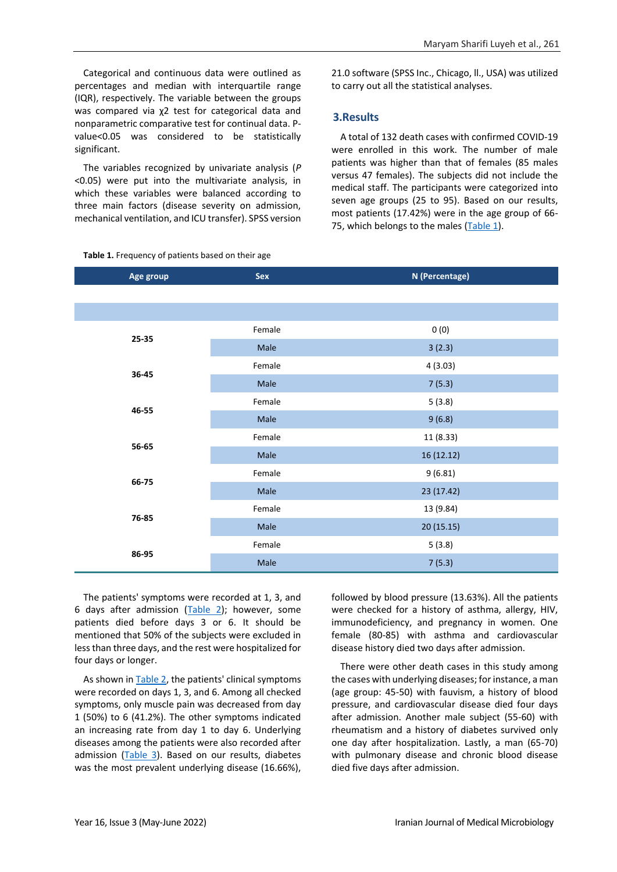Categorical and continuous data were outlined as percentages and median with interquartile range (IQR), respectively. The variable between the groups was compared via χ2 test for categorical data and nonparametric comparative test for continual data. Pvalue<0.05 was considered to be statistically significant.

The variables recognized by univariate analysis (*P* <0.05) were put into the multivariate analysis, in which these variables were balanced according to three main factors (disease severity on admission, mechanical ventilation, and ICU transfer). SPSS version 21.0 software (SPSS Inc., Chicago, ll., USA) was utilized to carry out all the statistical analyses.

## **3.Results**

A total of 132 death cases with confirmed COVID-19 were enrolled in this work. The number of male patients was higher than that of females (85 males versus 47 females). The subjects did not include the medical staff. The participants were categorized into seven age groups (25 to 95). Based on our results, most patients (17.42%) were in the age group of 66- 75, which belongs to the males [\(Table 1\)](#page-2-0).

| Age group | Sex    | N (Percentage) |
|-----------|--------|----------------|
|           |        |                |
|           |        |                |
| 25-35     | Female | 0(0)           |
|           | Male   | 3(2.3)         |
| 36-45     | Female | 4(3.03)        |
|           | Male   | 7(5.3)         |
| 46-55     | Female | 5(3.8)         |
|           | Male   | 9(6.8)         |
| 56-65     | Female | 11 (8.33)      |
|           | Male   | 16 (12.12)     |
| 66-75     | Female | 9(6.81)        |
|           | Male   | 23 (17.42)     |
| 76-85     | Female | 13 (9.84)      |
|           | Male   | 20 (15.15)     |
| 86-95     | Female | 5(3.8)         |
|           | Male   | 7(5.3)         |

<span id="page-2-0"></span>**Table 1.** Frequency of patients based on their age

The patients' symptoms were recorded at 1, 3, and 6 days after admission  $(Table 2)$ ; however, some patients died before days 3 or 6. It should be mentioned that 50% of the subjects were excluded in less than three days, and the rest were hospitalized for four days or longer.

As shown i[n Table 2,](#page-3-0) the patients' clinical symptoms were recorded on days 1, 3, and 6. Among all checked symptoms, only muscle pain was decreased from day 1 (50%) to 6 (41.2%). The other symptoms indicated an increasing rate from day 1 to day 6. Underlying diseases among the patients were also recorded after admission [\(Table 3\)](#page-3-1). Based on our results, diabetes was the most prevalent underlying disease (16.66%),

followed by blood pressure (13.63%). All the patients were checked for a history of asthma, allergy, HIV, immunodeficiency, and pregnancy in women. One female (80-85) with asthma and cardiovascular disease history died two days after admission.

There were other death cases in this study among the cases with underlying diseases; for instance, a man (age group: 45-50) with fauvism, a history of blood pressure, and cardiovascular disease died four days after admission. Another male subject (55-60) with rheumatism and a history of diabetes survived only one day after hospitalization. Lastly, a man (65-70) with pulmonary disease and chronic blood disease died five days after admission.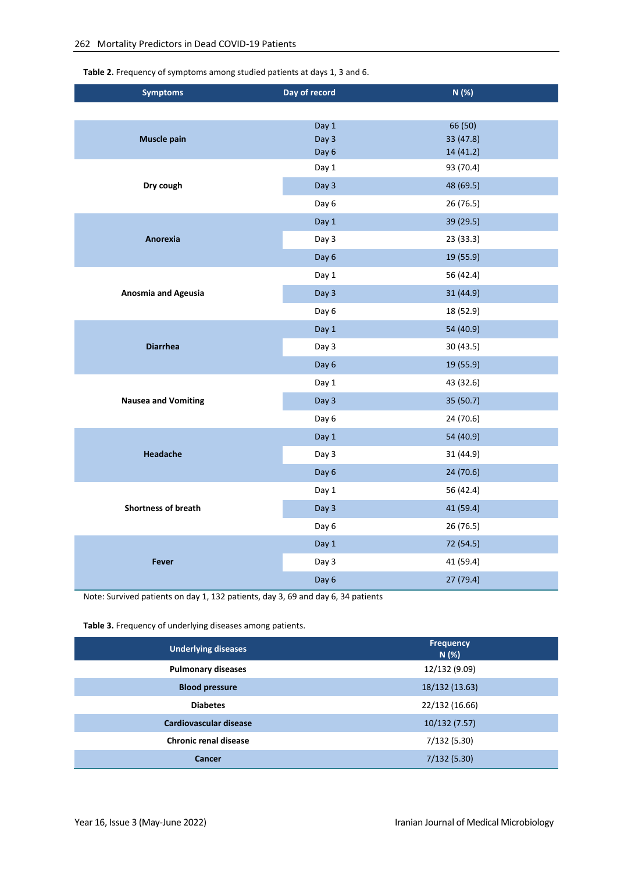<span id="page-3-0"></span>**Table 2.** Frequency of symptoms among studied patients at days 1, 3 and 6.

| <b>Symptoms</b>            | Day of record  | N(%)                   |
|----------------------------|----------------|------------------------|
|                            |                |                        |
|                            | Day 1          | 66 (50)                |
| <b>Muscle pain</b>         | Day 3<br>Day 6 | 33 (47.8)<br>14 (41.2) |
|                            | Day 1          | 93 (70.4)              |
| Dry cough                  | Day 3          | 48 (69.5)              |
|                            | Day 6          | 26 (76.5)              |
|                            | Day 1          | 39 (29.5)              |
| Anorexia                   | Day 3          | 23 (33.3)              |
|                            | Day 6          | 19 (55.9)              |
|                            | Day 1          | 56 (42.4)              |
| <b>Anosmia and Ageusia</b> | Day 3          | 31 (44.9)              |
|                            | Day 6          | 18 (52.9)              |
|                            | Day 1          | 54 (40.9)              |
| <b>Diarrhea</b>            | Day 3          | 30 (43.5)              |
|                            | Day 6          | 19 (55.9)              |
|                            | Day 1          | 43 (32.6)              |
| <b>Nausea and Vomiting</b> | Day 3          | 35 (50.7)              |
|                            | Day 6          | 24 (70.6)              |
|                            | Day 1          | 54 (40.9)              |
| <b>Headache</b>            | Day 3          | 31 (44.9)              |
|                            | Day 6          | 24 (70.6)              |
|                            | Day 1          | 56 (42.4)              |
| <b>Shortness of breath</b> | Day 3          | 41 (59.4)              |
|                            | Day 6          | 26 (76.5)              |
|                            | Day 1          | 72 (54.5)              |
| <b>Fever</b>               | Day 3          | 41 (59.4)              |
|                            | Day 6          | 27 (79.4)              |

Note: Survived patients on day 1, 132 patients, day 3, 69 and day 6, 34 patients

<span id="page-3-1"></span>**Table 3.** Frequency of underlying diseases among patients.

| <b>Underlying diseases</b>   | <b>Frequency</b><br>N(%) |
|------------------------------|--------------------------|
| <b>Pulmonary diseases</b>    | 12/132 (9.09)            |
| <b>Blood pressure</b>        | 18/132 (13.63)           |
| <b>Diabetes</b>              | 22/132 (16.66)           |
| Cardiovascular disease       | 10/132 (7.57)            |
| <b>Chronic renal disease</b> | 7/132 (5.30)             |
| Cancer                       | 7/132(5.30)              |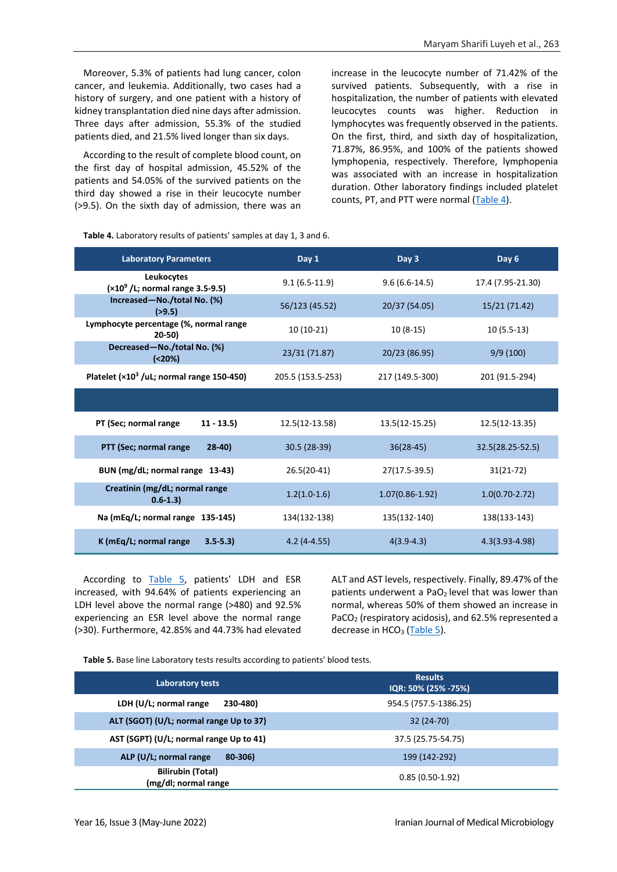Moreover, 5.3% of patients had lung cancer, colon cancer, and leukemia. Additionally, two cases had a history of surgery, and one patient with a history of kidney transplantation died nine days after admission. Three days after admission, 55.3% of the studied patients died, and 21.5% lived longer than six days.

According to the result of complete blood count, on the first day of hospital admission, 45.52% of the patients and 54.05% of the survived patients on the third day showed a rise in their leucocyte number (>9.5). On the sixth day of admission, there was an increase in the leucocyte number of 71.42% of the survived patients. Subsequently, with a rise in hospitalization, the number of patients with elevated leucocytes counts was higher. Reduction in lymphocytes was frequently observed in the patients. On the first, third, and sixth day of hospitalization, 71.87%, 86.95%, and 100% of the patients showed lymphopenia, respectively. Therefore, lymphopenia was associated with an increase in hospitalization duration. Other laboratory findings included platelet counts, PT, and PTT were normal [\(Table 4\)](#page-4-0).

<span id="page-4-0"></span>**Table 4.** Laboratory results of patients' samples at day 1, 3 and 6.

| <b>Laboratory Parameters</b>                       | Day 1             | Day 3             | Day 6              |
|----------------------------------------------------|-------------------|-------------------|--------------------|
| Leukocytes<br>$(x10^9)$ /L; normal range 3.5-9.5)  | $9.1(6.5-11.9)$   | $9.6(6.6-14.5)$   | 17.4 (7.95-21.30)  |
| Increased-No./total No. (%)<br>(>9.5)              | 56/123 (45.52)    | 20/37 (54.05)     | 15/21 (71.42)      |
| Lymphocyte percentage (%, normal range<br>$20-50)$ | $10(10-21)$       | $10(8-15)$        | $10(5.5-13)$       |
| Decreased-No./total No. (%)<br>( <b>20%</b> )      | 23/31 (71.87)     | 20/23 (86.95)     | 9/9(100)           |
| Platelet $(x10^3$ /uL; normal range 150-450)       | 205.5 (153.5-253) | 217 (149.5-300)   | 201 (91.5-294)     |
|                                                    |                   |                   |                    |
| PT (Sec; normal range<br>$11 - 13.5$               | 12.5(12-13.58)    | 13.5(12-15.25)    | 12.5(12-13.35)     |
| PTT (Sec; normal range<br>$28-40$                  | 30.5 (28-39)      | $36(28-45)$       | 32.5(28.25-52.5)   |
| BUN (mg/dL; normal range 13-43)                    | 26.5(20-41)       | 27(17.5-39.5)     | $31(21-72)$        |
| Creatinin (mg/dL; normal range<br>$0.6 - 1.3$      | $1.2(1.0-1.6)$    | $1.07(0.86-1.92)$ | $1.0(0.70-2.72)$   |
| Na (mEq/L; normal range 135-145)                   | 134(132-138)      | 135(132-140)      | 138(133-143)       |
| K (mEq/L; normal range<br>$3.5 - 5.3$              | $4.2(4-4.55)$     | $4(3.9-4.3)$      | $4.3(3.93 - 4.98)$ |

According to [Table 5,](#page-4-1) patients' LDH and ESR increased, with 94.64% of patients experiencing an LDH level above the normal range (>480) and 92.5% experiencing an ESR level above the normal range (>30). Furthermore, 42.85% and 44.73% had elevated ALT and AST levels, respectively. Finally, 89.47% of the patients underwent a PaO<sub>2</sub> level that was lower than normal, whereas 50% of them showed an increase in PaCO<sub>2</sub> (respiratory acidosis), and 62.5% represented a decrease in HCO<sub>3</sub> [\(Table 5\)](#page-4-1).

<span id="page-4-1"></span>**Table 5.** Base line Laboratory tests results according to patients' blood tests.

| Laboratory tests                                 | <b>Results</b><br>IQR: 50% (25% -75%) |
|--------------------------------------------------|---------------------------------------|
| LDH $(U/L;$ normal range<br>230-480)             | 954.5 (757.5-1386.25)                 |
| ALT (SGOT) (U/L; normal range Up to 37)          | 32 (24-70)                            |
| AST (SGPT) (U/L; normal range Up to 41)          | 37.5 (25.75-54.75)                    |
| ALP (U/L; normal range<br>80-306)                | 199 (142-292)                         |
| <b>Bilirubin (Total)</b><br>(mg/dl; normal range | $0.85(0.50-1.92)$                     |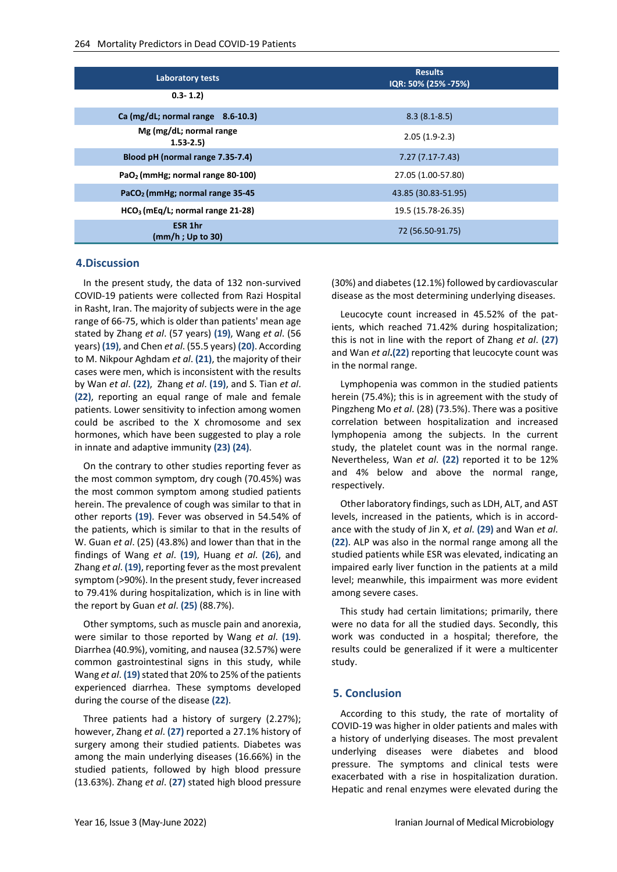| Laboratory tests                             | <b>Results</b><br>IQR: 50% (25% -75%) |
|----------------------------------------------|---------------------------------------|
| $0.3 - 1.2$                                  |                                       |
| Ca (mg/dL; normal range 8.6-10.3)            | $8.3(8.1 - 8.5)$                      |
| Mg (mg/dL; normal range<br>$1.53 - 2.5$      | $2.05(1.9-2.3)$                       |
| Blood pH (normal range 7.35-7.4)             | 7.27 (7.17-7.43)                      |
| PaO <sub>2</sub> (mmHg; normal range 80-100) | 27.05 (1.00-57.80)                    |
| PaCO <sub>2</sub> (mmHg; normal range 35-45) | 43.85 (30.83-51.95)                   |
| $HCO3$ (mEg/L; normal range 21-28)           | 19.5 (15.78-26.35)                    |
| <b>ESR 1hr</b><br>(mm/h; Up to 30)           | 72 (56.50-91.75)                      |

#### **4.Discussion**

In the present study, the data of 132 non-survived COVID-19 patients were collected from Razi Hospital in Rasht, Iran. The majority of subjects were in the age range of 66-75, which is older than patients' mean age stated by Zhang *et al*. (57 years) **(19)**, Wang *et al*. (56 years) **(19)**, and Chen *et al*. (55.5 years) **(20)**. According to M. Nikpour Aghdam *et al*. **(21)**, the majority of their cases were men, which is inconsistent with the results by Wan *et al*. **(22)**, Zhang *et al*. **(19)**, and S. Tian *et al*. **(22)**, reporting an equal range of male and female patients. Lower sensitivity to infection among women could be ascribed to the X chromosome and sex hormones, which have been suggested to play a role in innate and adaptive immunity **(23) (24)**.

On the contrary to other studies reporting fever as the most common symptom, dry cough (70.45%) was the most common symptom among studied patients herein. The prevalence of cough was similar to that in other reports **(19)**. Fever was observed in 54.54% of the patients, which is similar to that in the results of W. Guan *et al*. (25) (43.8%) and lower than that in the findings of Wang *et al*. **(19)**, Huang *et al*. **(26)**, and Zhang *et al*. **(19)**, reporting fever as the most prevalent symptom (>90%). In the present study, fever increased to 79.41% during hospitalization, which is in line with the report by Guan *et al*. **(25)** (88.7%).

Other symptoms, such as muscle pain and anorexia, were similar to those reported by Wang *et al*. **(19)**. Diarrhea (40.9%), vomiting, and nausea (32.57%) were common gastrointestinal signs in this study, while Wang *et al*. **(19)**stated that 20% to 25% of the patients experienced diarrhea. These symptoms developed during the course of the disease **(22)**.

Three patients had a history of surgery (2.27%); however, Zhang *et al*. **(27)** reported a 27.1% history of surgery among their studied patients. Diabetes was among the main underlying diseases (16.66%) in the studied patients, followed by high blood pressure (13.63%). Zhang *et al*. (**27)** stated high blood pressure

(30%) and diabetes (12.1%) followed by cardiovascular disease as the most determining underlying diseases.

Leucocyte count increased in 45.52% of the patients, which reached 71.42% during hospitalization; this is not in line with the report of Zhang *et al*. **(27)** and Wan *et al***.(22)** reporting that leucocyte count was in the normal range.

Lymphopenia was common in the studied patients herein (75.4%); this is in agreement with the study of Pingzheng Mo *et al*. (28) (73.5%). There was a positive correlation between hospitalization and increased lymphopenia among the subjects. In the current study, the platelet count was in the normal range. Nevertheless, Wan *et al*. **(22)** reported it to be 12% and 4% below and above the normal range, respectively.

Other laboratory findings, such as LDH, ALT, and AST levels, increased in the patients, which is in accordance with the study of Jin X, *et al*. **(29)** and Wan *et al*. **(22)**. ALP was also in the normal range among all the studied patients while ESR was elevated, indicating an impaired early liver function in the patients at a mild level; meanwhile, this impairment was more evident among severe cases.

This study had certain limitations; primarily, there were no data for all the studied days. Secondly, this work was conducted in a hospital; therefore, the results could be generalized if it were a multicenter study.

#### **5. Conclusion**

According to this study, the rate of mortality of COVID-19 was higher in older patients and males with a history of underlying diseases. The most prevalent underlying diseases were diabetes and blood pressure. The symptoms and clinical tests were exacerbated with a rise in hospitalization duration. Hepatic and renal enzymes were elevated during the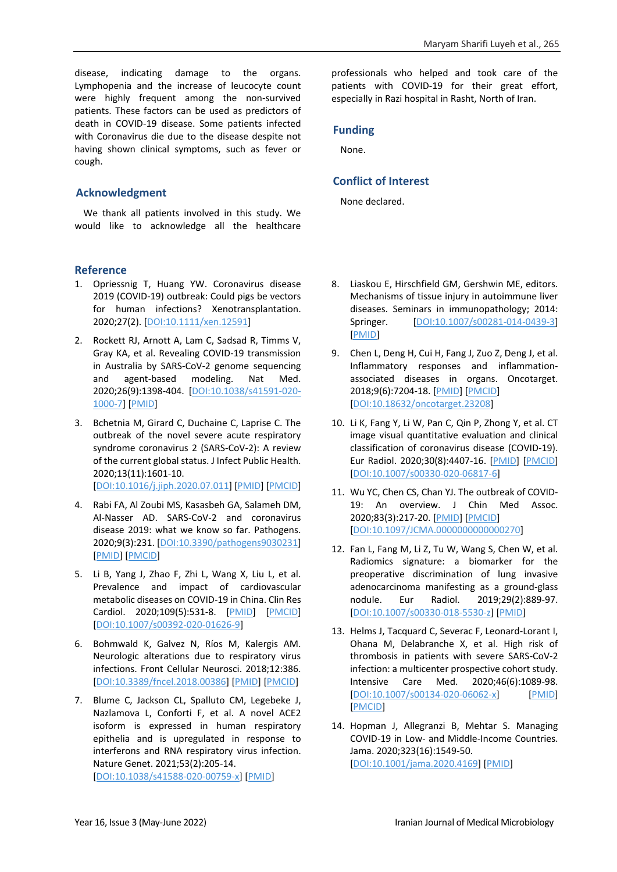disease, indicating damage to the organs. Lymphopenia and the increase of leucocyte count were highly frequent among the non-survived patients. These factors can be used as predictors of death in COVID-19 disease. Some patients infected with Coronavirus die due to the disease despite not having shown clinical symptoms, such as fever or cough.

# **Acknowledgment**

We thank all patients involved in this study. We would like to acknowledge all the healthcare

## **Reference**

- 1. Opriessnig T, Huang YW. Coronavirus disease 2019 (COVID‐19) outbreak: Could pigs be vectors for human infections? Xenotransplantation. 2020;27(2). [\[DOI:10.1111/xen.12591\]](https://doi.org/10.1111/xen.12591)
- 2. Rockett RJ, Arnott A, Lam C, Sadsad R, Timms V, Gray KA, et al. Revealing COVID-19 transmission in Australia by SARS-CoV-2 genome sequencing and agent-based modeling. Nat Med. 2020;26(9):1398-404. [\[DOI:10.1038/s41591-020-](https://doi.org/10.1038/s41591-020-1000-7) [1000-7\]](https://doi.org/10.1038/s41591-020-1000-7) [\[PMID\]](https://www.ncbi.nlm.nih.gov/pubmed/32647358)
- 3. Bchetnia M, Girard C, Duchaine C, Laprise C. The outbreak of the novel severe acute respiratory syndrome coronavirus 2 (SARS-CoV-2): A review of the current global status. J Infect Public Health. 2020;13(11):1601-10. [\[DOI:10.1016/j.jiph.2020.07.011\]](https://doi.org/10.1016/j.jiph.2020.07.011) [\[PMID\]](https://www.ncbi.nlm.nih.gov/pubmed/32778421) [\[PMCID\]](http://www.ncbi.nlm.nih.gov/pmc/articles/PMC7402212)
- 4. Rabi FA, Al Zoubi MS, Kasasbeh GA, Salameh DM, Al-Nasser AD. SARS-CoV-2 and coronavirus disease 2019: what we know so far. Pathogens. 2020;9(3):231. [\[DOI:10.3390/pathogens9030231\]](https://doi.org/10.3390/pathogens9030231) [\[PMID\]](https://www.ncbi.nlm.nih.gov/pubmed/32245083) [\[PMCID\]](http://www.ncbi.nlm.nih.gov/pmc/articles/PMC7157541)
- 5. Li B, Yang J, Zhao F, Zhi L, Wang X, Liu L, et al. Prevalence and impact of cardiovascular metabolic diseases on COVID-19 in China. Clin Res Cardiol. 2020;109(5):531-8. [\[PMID\]](https://www.ncbi.nlm.nih.gov/pubmed/32161990) [\[PMCID\]](http://www.ncbi.nlm.nih.gov/pmc/articles/PMC7087935) [\[DOI:10.1007/s00392-020-01626-9\]](https://doi.org/10.1007/s00392-020-01626-9)
- 6. Bohmwald K, Galvez N, Ríos M, Kalergis AM. Neurologic alterations due to respiratory virus infections. Front Cellular Neurosci. 2018;12:386. [\[DOI:10.3389/fncel.2018.00386\]](https://doi.org/10.3389/fncel.2018.00386) [\[PMID\]](https://www.ncbi.nlm.nih.gov/pubmed/30416428) [\[PMCID\]](http://www.ncbi.nlm.nih.gov/pmc/articles/PMC6212673)
- 7. Blume C, Jackson CL, Spalluto CM, Legebeke J, Nazlamova L, Conforti F, et al. A novel ACE2 isoform is expressed in human respiratory epithelia and is upregulated in response to interferons and RNA respiratory virus infection. Nature Genet. 2021;53(2):205-14. [\[DOI:10.1038/s41588-020-00759-x\]](https://doi.org/10.1038/s41588-020-00759-x) [\[PMID\]](https://www.ncbi.nlm.nih.gov/pubmed/33432184)

professionals who helped and took care of the patients with COVID-19 for their great effort, especially in Razi hospital in Rasht, North of Iran.

# **Funding**

None.

# **Conflict of Interest**

None declared.

- 8. Liaskou E, Hirschfield GM, Gershwin ME, editors. Mechanisms of tissue injury in autoimmune liver diseases. Seminars in immunopathology; 2014: Springer. [\[DOI:10.1007/s00281-014-0439-3\]](https://doi.org/10.1007/s00281-014-0439-3) [\[PMID\]](https://www.ncbi.nlm.nih.gov/pubmed/25082647)
- 9. Chen L, Deng H, Cui H, Fang J, Zuo Z, Deng J, et al. Inflammatory responses and inflammationassociated diseases in organs. Oncotarget. 2018;9(6):7204-18. [\[PMID\]](https://www.ncbi.nlm.nih.gov/pubmed/29467962) [\[PMCID\]](http://www.ncbi.nlm.nih.gov/pmc/articles/PMC5805548) [\[DOI:10.18632/oncotarget.23208\]](https://doi.org/10.18632/oncotarget.23208)
- 10. Li K, Fang Y, Li W, Pan C, Qin P, Zhong Y, et al. CT image visual quantitative evaluation and clinical classification of coronavirus disease (COVID-19). Eur Radiol. 2020;30(8):4407-16. [\[PMID\]](https://www.ncbi.nlm.nih.gov/pubmed/32215691) [\[PMCID\]](http://www.ncbi.nlm.nih.gov/pmc/articles/PMC7095246) [\[DOI:10.1007/s00330-020-06817-6\]](https://doi.org/10.1007/s00330-020-06817-6)
- 11. Wu YC, Chen CS, Chan YJ. The outbreak of COVID-19: An overview. J Chin Med Assoc. 2020;83(3):217-20. [\[PMID\]](https://www.ncbi.nlm.nih.gov/pubmed/32134861) [\[PMCID\]](http://www.ncbi.nlm.nih.gov/pmc/articles/PMC7153464) [\[DOI:10.1097/JCMA.0000000000000270\]](https://doi.org/10.1097/JCMA.0000000000000270)
- 12. Fan L, Fang M, Li Z, Tu W, Wang S, Chen W, et al. Radiomics signature: a biomarker for the preoperative discrimination of lung invasive adenocarcinoma manifesting as a ground-glass nodule. Eur Radiol. 2019;29(2):889-97. [\[DOI:10.1007/s00330-018-5530-z\]](https://doi.org/10.1007/s00330-018-5530-z) [\[PMID\]](https://www.ncbi.nlm.nih.gov/pubmed/29967956)
- 13. Helms J, Tacquard C, Severac F, Leonard-Lorant I, Ohana M, Delabranche X, et al. High risk of thrombosis in patients with severe SARS-CoV-2 infection: a multicenter prospective cohort study. Intensive Care Med. 2020;46(6):1089-98. [\[DOI:10.1007/s00134-020-06062-x\]](https://doi.org/10.1007/s00134-020-06062-x) [\[PMID\]](https://www.ncbi.nlm.nih.gov/pubmed/32367170) [\[PMCID\]](http://www.ncbi.nlm.nih.gov/pmc/articles/PMC7197634)
- 14. Hopman J, Allegranzi B, Mehtar S. Managing COVID-19 in Low- and Middle-Income Countries. Jama. 2020;323(16):1549-50. [\[DOI:10.1001/jama.2020.4169\]](https://doi.org/10.1001/jama.2020.4169) [\[PMID\]](https://www.ncbi.nlm.nih.gov/pubmed/32176764)